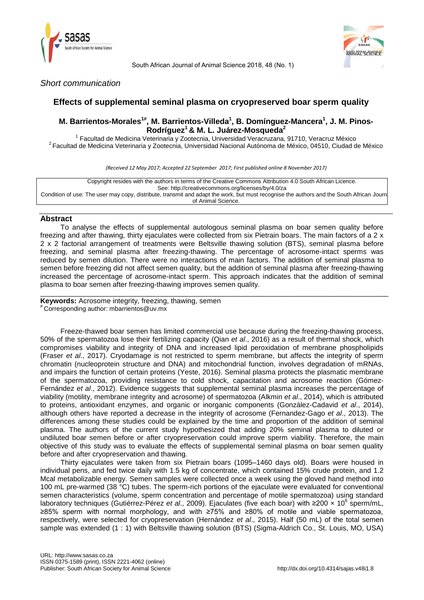

South African Journal of Animal Science 2018, 48 (No. 1)



### *Short communication*

# **Effects of supplemental seminal plasma on cryopreserved boar sperm quality**

## **M. Barrientos-Morales1# , M. Barrientos-Villeda<sup>1</sup> , B. Domínguez-Mancera<sup>1</sup> , J. M. Pinos-Rodríguez<sup>1</sup> & M. L. Juárez-Mosqueda<sup>2</sup>**

1 Facultad de Medicina Veterinaria y Zootecnia, Universidad Veracruzana, 91710, Veracruz México <sup>2</sup> Facultad de Medicina Veterinaria y Zootecnia, Universidad Nacional Autónoma de México, 04510, Ciudad de México

*(Received 12 May 2017; Accepted 22 September 2017; First published online 8 November 2017)*

Copyright resides with the authors in terms of the Creative Commons Attribution 4.0 South African Licence. See: http://creativecommons.org/licenses/by/4.0/za Condition of use: The user may copy, distribute, transmit and adapt the work, but must recognise the authors and the South African Journal of Animal Science.

### **Abstract**

To analyse the effects of supplemental autologous seminal plasma on boar semen quality before freezing and after thawing, thirty ejaculates were collected from six Pietrain boars. The main factors of a 2 x 2 x 2 factorial arrangement of treatments were Beltsville thawing solution (BTS), seminal plasma before freezing, and seminal plasma after freezing-thawing. The percentage of acrosome-intact sperms was reduced by semen dilution. There were no interactions of main factors. The addition of seminal plasma to semen before freezing did not affect semen quality, but the addition of seminal plasma after freezing-thawing increased the percentage of acrosome-intact sperm. This approach indicates that the addition of seminal plasma to boar semen after freezing-thawing improves semen quality.

\_\_\_\_\_\_\_\_\_\_\_\_\_\_\_\_\_\_\_\_\_\_\_\_\_\_\_\_\_\_\_\_\_\_\_\_\_\_\_\_\_\_\_\_\_\_\_\_\_\_\_\_\_\_\_\_\_\_\_\_\_\_\_\_\_\_\_\_\_\_\_\_\_\_\_\_\_\_\_\_\_\_\_\_\_\_\_\_

**Keywords:** Acrosome integrity, freezing, thawing, semen # Corresponding author: [mbarrientos@uv.mx](mailto:mbarrientos@uv.mx)

Freeze-thawed boar semen has limited commercial use because during the freezing-thawing process, 50% of the spermatozoa lose their fertilizing capacity (Qian *et al*., 2016) as a result of thermal shock, which compromises viability and integrity of DNA and increased lipid peroxidation of membrane phospholipids (Fraser *et al*., 2017). Cryodamage is not restricted to sperm membrane, but affects the integrity of sperm chromatin (nucleoprotein structure and DNA) and mitochondrial function, involves degradation of mRNAs, and impairs the function of certain proteins (Yeste, 2016). Seminal plasma protects the plasmatic membrane of the spermatozoa, providing resistance to cold shock, capacitation and acrosome reaction (Gómez-Fernández *et al*., 2012). Evidence suggests that supplemental seminal plasma increases the percentage of viability (motility, membrane integrity and acrosome) of spermatozoa (Alkmin *et al*., 2014), which is attributed to proteins, antioxidant enzymes, and organic or inorganic components (González-Cadavid *et al*., 2014), although others have reported a decrease in the integrity of acrosome (Fernandez-Gago *et al*., 2013). The differences among these studies could be explained by the time and proportion of the addition of seminal plasma. The authors of the current study hypothesized that adding 20% seminal plasma to diluted or undiluted boar semen before or after cryopreservation could improve sperm viability. Therefore, the main objective of this study was to evaluate the effects of supplemental seminal plasma on boar semen quality before and after cryopreservation and thawing.

Thirty ejaculates were taken from six Pietrain boars (1095–1460 days old). Boars were housed in individual pens, and fed twice daily with 1.5 kg of concentrate, which contained 15% crude protein, and 1.2 Mcal metabolizable energy. Semen samples were collected once a week using the gloved hand method into 100 mL pre-warmed (38 °C) tubes. The sperm-rich portions of the ejaculate were evaluated for conventional semen characteristics (volume, sperm concentration and percentage of motile spermatozoa) using standard laboratory techniques (Gutiérrez-Pérez *et al.*, 2009). Ejaculates (five each boar) with ≥200 x 10<sup>6</sup> sperm/mL, ≥85% sperm with normal morphology, and with ≥75% and ≥80% of motile and viable spermatozoa, respectively, were selected for cryopreservation (Hernández *et al*., 2015). Half (50 mL) of the total semen sample was extended (1 : 1) with Beltsville thawing solution (BTS) (Sigma-Aldrich Co., St. Louis, MO, USA)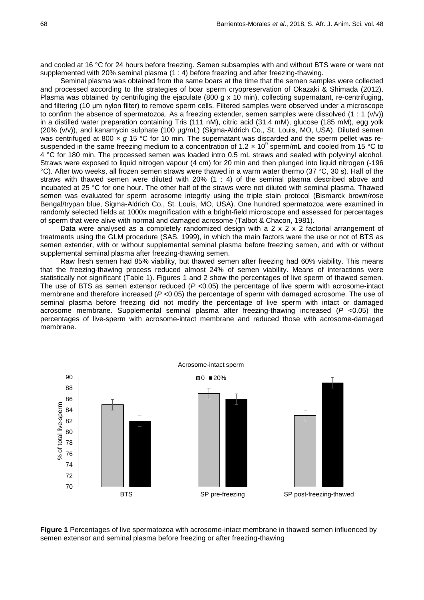and cooled at 16 °C for 24 hours before freezing. Semen subsamples with and without BTS were or were not supplemented with 20% seminal plasma (1 : 4) before freezing and after freezing-thawing.

Seminal plasma was obtained from the same boars at the time that the semen samples were collected and processed according to the strategies of boar sperm cryopreservation of Okazaki & Shimada (2012). Plasma was obtained by centrifuging the ejaculate (800 g x 10 min), collecting supernatant, re-centrifuging, and filtering (10 μm nylon filter) to remove sperm cells. Filtered samples were observed under a microscope to confirm the absence of spermatozoa. As a freezing extender, semen samples were dissolved (1 : 1 (v/v)) in a distilled water preparation containing Tris (111 nM), citric acid (31.4 mM), glucose (185 mM), egg yolk (20% (v/v)), and kanamycin sulphate (100 µg/mL) (Sigma-Aldrich Co., St. Louis, MO, USA). Diluted semen was centrifuged at 800 x *g* 15 °C for 10 min. The supernatant was discarded and the sperm pellet was resuspended in the same freezing medium to a concentration of 1.2  $\times$  10<sup>9</sup> sperm/mL and cooled from 15 °C to 4 °C for 180 min. The processed semen was loaded intro 0.5 mL straws and sealed with polyvinyl alcohol. Straws were exposed to liquid nitrogen vapour (4 cm) for 20 min and then plunged into liquid nitrogen (-196 °C). After two weeks, all frozen semen straws were thawed in a warm water thermo (37 °C, 30 s). Half of the straws with thawed semen were diluted with 20% (1 : 4) of the seminal plasma described above and incubated at 25 °C for one hour. The other half of the straws were not diluted with seminal plasma. Thawed semen was evaluated for sperm acrosome integrity using the triple stain protocol (Bismarck brown/rose Bengal/trypan blue, Sigma-Aldrich Co., St. Louis, MO, USA). One hundred spermatozoa were examined in randomly selected fields at 1000x magnification with a bright-field microscope and assessed for percentages of sperm that were alive with normal and damaged acrosome (Talbot & Chacon, 1981).

Data were analysed as a completely randomized design with a 2 x 2 x 2 factorial arrangement of treatments using the GLM procedure (SAS, 1999), in which the main factors were the use or not of BTS as semen extender, with or without supplemental seminal plasma before freezing semen, and with or without supplemental seminal plasma after freezing-thawing semen.

Raw fresh semen had 85% viability, but thawed semen after freezing had 60% viability. This means that the freezing-thawing process reduced almost 24% of semen viability. Means of interactions were statistically not significant (Table 1). Figures 1 and 2 show the percentages of live sperm of thawed semen. The use of BTS as semen extensor reduced ( $P < 0.05$ ) the percentage of live sperm with acrosome-intact membrane and therefore increased (*P* <0.05) the percentage of sperm with damaged acrosome. The use of seminal plasma before freezing did not modify the percentage of live sperm with intact or damaged acrosome membrane. Supplemental seminal plasma after freezing-thawing increased (*P* <0.05) the percentages of live-sperm with acrosome-intact membrane and reduced those with acrosome-damaged membrane.



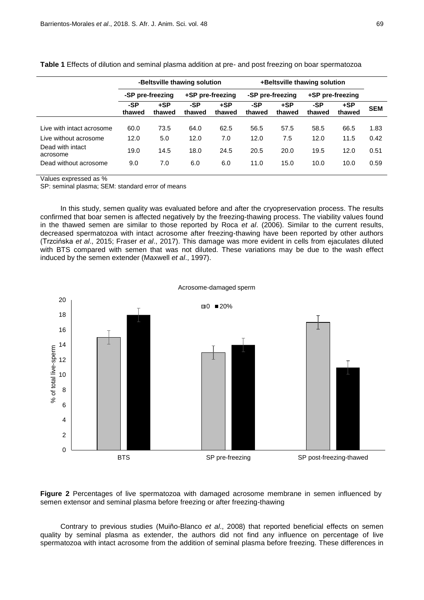|                              | -Beltsville thawing solution |                 |                  |                 | +Beltsville thawing solution |               |                  |               |            |
|------------------------------|------------------------------|-----------------|------------------|-----------------|------------------------------|---------------|------------------|---------------|------------|
|                              | -SP pre-freezing             |                 | +SP pre-freezing |                 | -SP pre-freezing             |               | +SP pre-freezing |               |            |
|                              | -SP<br>thawed                | $+SP$<br>thawed | -SP<br>thawed    | $+SP$<br>thawed | -SP<br>thawed                | +SP<br>thawed | -SP<br>thawed    | +SP<br>thawed | <b>SEM</b> |
| Live with intact acrosome    | 60.0                         | 73.5            | 64.0             | 62.5            | 56.5                         | 57.5          | 58.5             | 66.5          | 1.83       |
| Live without acrosome        | 12.0                         | 5.0             | 12.0             | 7.0             | 12.0                         | 7.5           | 12.0             | 11.5          | 0.42       |
| Dead with intact<br>acrosome | 19.0                         | 14.5            | 18.0             | 24.5            | 20.5                         | 20.0          | 19.5             | 12.0          | 0.51       |
| Dead without acrosome        | 9.0                          | 7.0             | 6.0              | 6.0             | 11.0                         | 15.0          | 10.0             | 10.0          | 0.59       |

**Table 1** Effects of dilution and seminal plasma addition at pre- and post freezing on boar spermatozoa

Values expressed as %

SP: seminal plasma; SEM: standard error of means

In this study, semen quality was evaluated before and after the cryopreservation process. The results confirmed that boar semen is affected negatively by the freezing-thawing process. The viability values found in the thawed semen are similar to those reported by Roca *et al*. (2006). Similar to the current results, decreased spermatozoa with intact acrosome after freezing-thawing have been reported by other authors (Trzcińska *et al*., 2015; Fraser *et al*., 2017). This damage was more evident in cells from ejaculates diluted with BTS compared with semen that was not diluted. These variations may be due to the wash effect induced by the semen extender (Maxwell *et al*., 1997).



**Figure 2** Percentages of live spermatozoa with damaged acrosome membrane in semen influenced by semen extensor and seminal plasma before freezing or after freezing-thawing

Contrary to previous studies (Muiño-Blanco *et al*., 2008) that reported beneficial effects on semen quality by seminal plasma as extender, the authors did not find any influence on percentage of live spermatozoa with intact acrosome from the addition of seminal plasma before freezing. These differences in